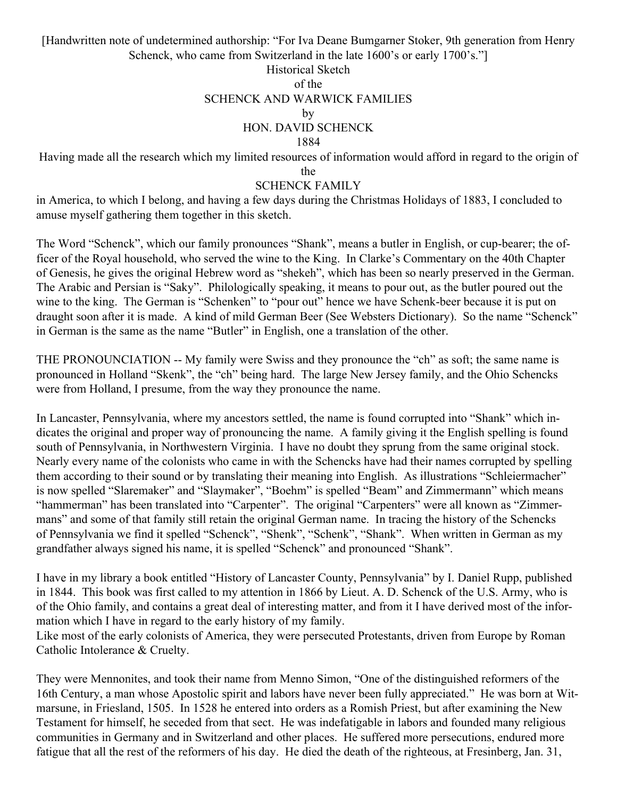[Handwritten note of undetermined authorship: "For Iva Deane Bumgarner Stoker, 9th generation from Henry Schenck, who came from Switzerland in the late 1600's or early 1700's."

## Historical Sketch of the SCHENCK AND WARWICK FAMILIES by HON. DAVID SCHENCK 1884

Having made all the research which my limited resources of information would afford in regard to the origin of

the

#### SCHENCK FAMILY

in America, to which I belong, and having a few days during the Christmas Holidays of 1883, I concluded to amuse myself gathering them together in this sketch.

The Word "Schenck", which our family pronounces "Shank", means a butler in English, or cup-bearer; the officer of the Royal household, who served the wine to the King. In Clarke's Commentary on the 40th Chapter of Genesis, he gives the original Hebrew word as "shekeh", which has been so nearly preserved in the German. The Arabic and Persian is "Saky". Philologically speaking, it means to pour out, as the butler poured out the wine to the king. The German is "Schenken" to "pour out" hence we have Schenk-beer because it is put on draught soon after it is made. A kind of mild German Beer (See Websters Dictionary). So the name "Schenck" in German is the same as the name "Butler" in English, one a translation of the other.

THE PRONOUNCIATION -- My family were Swiss and they pronounce the "ch" as soft; the same name is pronounced in Holland "Skenk", the "ch" being hard. The large New Jersey family, and the Ohio Schencks were from Holland, I presume, from the way they pronounce the name.

In Lancaster, Pennsylvania, where my ancestors settled, the name is found corrupted into "Shank" which indicates the original and proper way of pronouncing the name. A family giving it the English spelling is found south of Pennsylvania, in Northwestern Virginia. I have no doubt they sprung from the same original stock. Nearly every name of the colonists who came in with the Schencks have had their names corrupted by spelling them according to their sound or by translating their meaning into English. As illustrations "Schleiermacher" is now spelled "Slaremaker" and "Slaymaker", "Boehm" is spelled "Beam" and Zimmermann" which means "hammerman" has been translated into "Carpenter". The original "Carpenters" were all known as "Zimmermans" and some of that family still retain the original German name. In tracing the history of the Schencks of Pennsylvania we find it spelled "Schenck", "Shenk", "Schenk", "Shank". When written in German as my grandfather always signed his name, it is spelled "Schenck" and pronounced "Shank".

I have in my library a book entitled "History of Lancaster County, Pennsylvania" by I. Daniel Rupp, published in 1844. This book was first called to my attention in 1866 by Lieut. A. D. Schenck of the U.S. Army, who is of the Ohio family, and contains a great deal of interesting matter, and from it I have derived most of the information which I have in regard to the early history of my family.

Like most of the early colonists of America, they were persecuted Protestants, driven from Europe by Roman Catholic Intolerance & Cruelty.

They were Mennonites, and took their name from Menno Simon, "One of the distinguished reformers of the 16th Century, a man whose Apostolic spirit and labors have never been fully appreciated." He was born at Witmarsune, in Friesland, 1505. In 1528 he entered into orders as a Romish Priest, but after examining the New Testament for himself, he seceded from that sect. He was indefatigable in labors and founded many religious communities in Germany and in Switzerland and other places. He suffered more persecutions, endured more fatigue that all the rest of the reformers of his day. He died the death of the righteous, at Fresinberg, Jan. 31,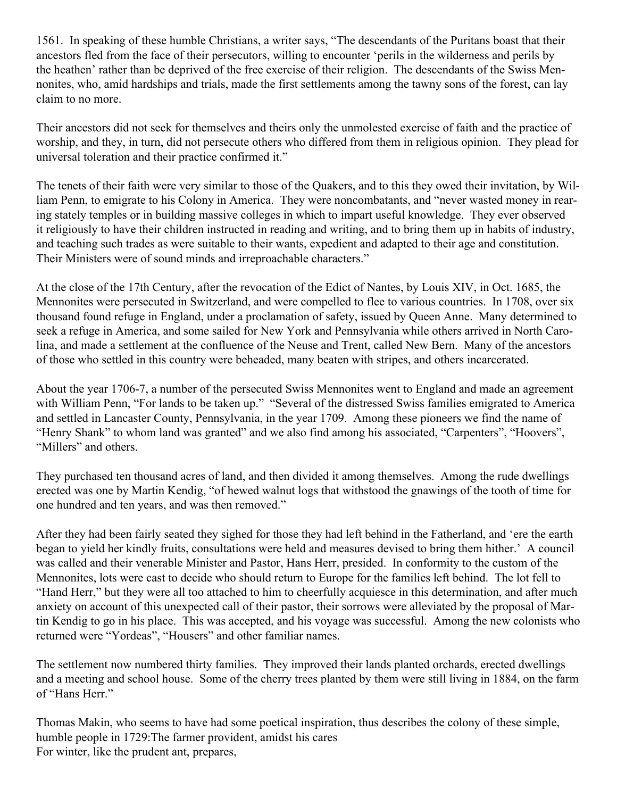1561. In speaking of these humble Christians, a writer says, "The descendants of the Puritans boast that their ancestors fled from the face of their persecutors, willing to encounter 'perils in the wilderness and perils by the heathen' rather than be deprived of the free exercise of their religion. The descendants of the Swiss Mennonites, who, amid hardships and trials, made the first settlements among the tawny sons of the forest, can lay claim to no more.

Their ancestors did not seek for themselves and theirs only the unmolested exercise of faith and the practice of worship, and they, in turn, did not persecute others who differed from them in religious opinion. They plead for universal toleration and their practice confirmed it."

The tenets of their faith were very similar to those of the Quakers, and to this they owed their invitation, by William Penn, to emigrate to his Colony in America. They were noncombatants, and "never wasted money in rearing stately temples or in building massive colleges in which to impart useful knowledge. They ever observed it religiously to have their children instructed in reading and writing, and to bring them up in habits of industry, and teaching such trades as were suitable to their wants, expedient and adapted to their age and constitution. Their Ministers were of sound minds and irreproachable characters."

At the close of the 17th Century, after the revocation of the Edict of Nantes, by Louis XIV, in Oct. 1685, the Mennonites were persecuted in Switzerland, and were compelled to flee to various countries. In 1708, over six thousand found refuge in England, under a proclamation of safety, issued by Queen Anne. Many determined to seek a refuge in America, and some sailed for New York and Pennsylvania while others arrived in North Carolina, and made a settlement at the confluence of the Neuse and Trent, called New Bern. Many of the ancestors of those who settled in this country were beheaded, many beaten with stripes, and others incarcerated.

About the year 1706-7, a number of the persecuted Swiss Mennonites went to England and made an agreement with William Penn, "For lands to be taken up." "Several of the distressed Swiss families emigrated to America and settled in Lancaster County, Pennsylvania, in the year 1709. Among these pioneers we find the name of "Henry Shank" to whom land was granted" and we also find among his associated, "Carpenters", "Hoovers", "Millers" and others.

They purchased ten thousand acres of land, and then divided it among themselves. Among the rude dwellings erected was one by Martin Kendig, "of hewed walnut logs that withstood the gnawings of the tooth of time for one hundred and ten years, and was then removed."

After they had been fairly seated they sighed for those they had left behind in the Fatherland, and 'ere the earth began to yield her kindly fruits, consultations were held and measures devised to bring them hither.' A council was called and their venerable Minister and Pastor, Hans Herr, presided. In conformity to the custom of the Mennonites, lots were cast to decide who should return to Europe for the families left behind. The lot fell to "Hand Herr," but they were all too attached to him to cheerfully acquiesce in this determination, and after much anxiety on account of this unexpected call of their pastor, their sorrows were alleviated by the proposal of Martin Kendig to go in his place. This was accepted, and his voyage was successful. Among the new colonists who returned were "Yordeas", "Housers" and other familiar names.

The settlement now numbered thirty families. They improved their lands planted orchards, erected dwellings and a meeting and school house. Some of the cherry trees planted by them were still living in 1884, on the farm of "Hans Herr."

Thomas Makin, who seems to have had some poetical inspiration, thus describes the colony of these simple, humble people in 1729:The farmer provident, amidst his cares For winter, like the prudent ant, prepares,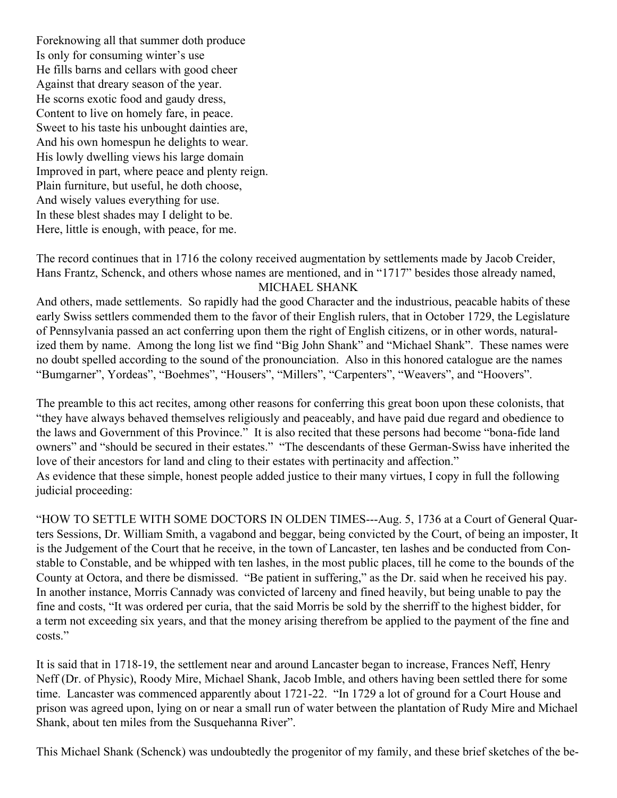Foreknowing all that summer doth produce Is only for consuming winter's use He fills barns and cellars with good cheer Against that dreary season of the year. He scorns exotic food and gaudy dress, Content to live on homely fare, in peace. Sweet to his taste his unbought dainties are, And his own homespun he delights to wear. His lowly dwelling views his large domain Improved in part, where peace and plenty reign. Plain furniture, but useful, he doth choose, And wisely values everything for use. In these blest shades may I delight to be. Here, little is enough, with peace, for me.

The record continues that in 1716 the colony received augmentation by settlements made by Jacob Creider, Hans Frantz, Schenck, and others whose names are mentioned, and in "1717" besides those already named, MICHAEL SHANK

And others, made settlements. So rapidly had the good Character and the industrious, peacable habits of these early Swiss settlers commended them to the favor of their English rulers, that in October 1729, the Legislature of Pennsylvania passed an act conferring upon them the right of English citizens, or in other words, naturalized them by name. Among the long list we find "Big John Shank" and "Michael Shank". These names were no doubt spelled according to the sound of the pronounciation. Also in this honored catalogue are the names "Bumgarner", Yordeas", "Boehmes", "Housers", "Millers", "Carpenters", "Weavers", and "Hoovers".

The preamble to this act recites, among other reasons for conferring this great boon upon these colonists, that "they have always behaved themselves religiously and peaceably, and have paid due regard and obedience to the laws and Government of this Province." It is also recited that these persons had become "bona-fide land owners" and "should be secured in their estates." "The descendants of these German-Swiss have inherited the love of their ancestors for land and cling to their estates with pertinacity and affection." As evidence that these simple, honest people added justice to their many virtues, I copy in full the following judicial proceeding:

"HOW TO SETTLE WITH SOME DOCTORS IN OLDEN TIMES---Aug. 5, 1736 at a Court of General Quarters Sessions, Dr. William Smith, a vagabond and beggar, being convicted by the Court, of being an imposter, It is the Judgement of the Court that he receive, in the town of Lancaster, ten lashes and be conducted from Constable to Constable, and be whipped with ten lashes, in the most public places, till he come to the bounds of the County at Octora, and there be dismissed. "Be patient in suffering," as the Dr. said when he received his pay. In another instance, Morris Cannady was convicted of larceny and fined heavily, but being unable to pay the fine and costs, "It was ordered per curia, that the said Morris be sold by the sherriff to the highest bidder, for a term not exceeding six years, and that the money arising therefrom be applied to the payment of the fine and costs."

It is said that in 1718-19, the settlement near and around Lancaster began to increase, Frances Neff, Henry Neff (Dr. of Physic), Roody Mire, Michael Shank, Jacob Imble, and others having been settled there for some time. Lancaster was commenced apparently about 1721-22. "In 1729 a lot of ground for a Court House and prison was agreed upon, lying on or near a small run of water between the plantation of Rudy Mire and Michael Shank, about ten miles from the Susquehanna River".

This Michael Shank (Schenck) was undoubtedly the progenitor of my family, and these brief sketches of the be-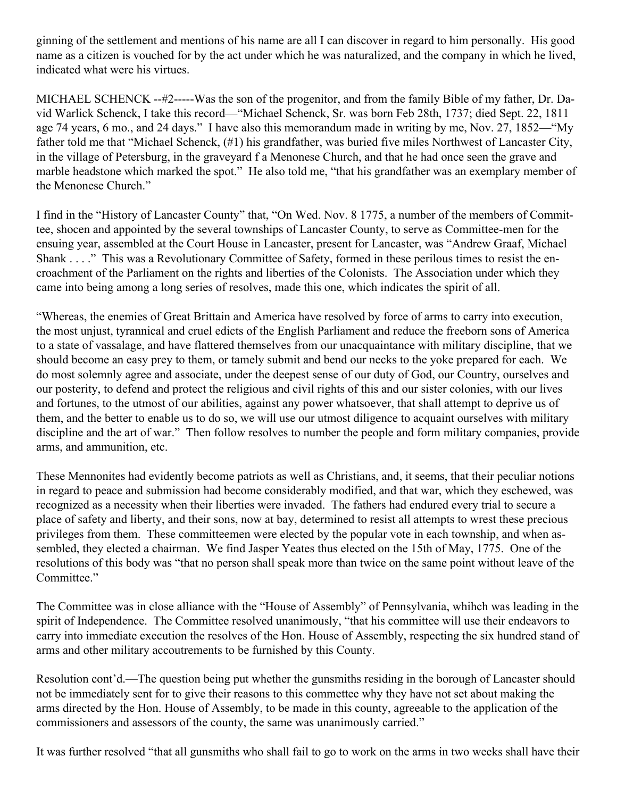ginning of the settlement and mentions of his name are all I can discover in regard to him personally. His good name as a citizen is vouched for by the act under which he was naturalized, and the company in which he lived, indicated what were his virtues.

MICHAEL SCHENCK --#2-----Was the son of the progenitor, and from the family Bible of my father, Dr. David Warlick Schenck, I take this record—"Michael Schenck, Sr. was born Feb 28th, 1737; died Sept. 22, 1811 age 74 years, 6 mo., and 24 days." I have also this memorandum made in writing by me, Nov. 27, 1852—"My father told me that "Michael Schenck, (#1) his grandfather, was buried five miles Northwest of Lancaster City, in the village of Petersburg, in the graveyard f a Menonese Church, and that he had once seen the grave and marble headstone which marked the spot." He also told me, "that his grandfather was an exemplary member of the Menonese Church."

I find in the "History of Lancaster County" that, "On Wed. Nov. 8 1775, a number of the members of Committee, shocen and appointed by the several townships of Lancaster County, to serve as Committee-men for the ensuing year, assembled at the Court House in Lancaster, present for Lancaster, was "Andrew Graaf, Michael Shank . . . ." This was a Revolutionary Committee of Safety, formed in these perilous times to resist the encroachment of the Parliament on the rights and liberties of the Colonists. The Association under which they came into being among a long series of resolves, made this one, which indicates the spirit of all.

"Whereas, the enemies of Great Brittain and America have resolved by force of arms to carry into execution, the most unjust, tyrannical and cruel edicts of the English Parliament and reduce the freeborn sons of America to a state of vassalage, and have flattered themselves from our unacquaintance with military discipline, that we should become an easy prey to them, or tamely submit and bend our necks to the yoke prepared for each. We do most solemnly agree and associate, under the deepest sense of our duty of God, our Country, ourselves and our posterity, to defend and protect the religious and civil rights of this and our sister colonies, with our lives and fortunes, to the utmost of our abilities, against any power whatsoever, that shall attempt to deprive us of them, and the better to enable us to do so, we will use our utmost diligence to acquaint ourselves with military discipline and the art of war." Then follow resolves to number the people and form military companies, provide arms, and ammunition, etc.

These Mennonites had evidently become patriots as well as Christians, and, it seems, that their peculiar notions in regard to peace and submission had become considerably modified, and that war, which they eschewed, was recognized as a necessity when their liberties were invaded. The fathers had endured every trial to secure a place of safety and liberty, and their sons, now at bay, determined to resist all attempts to wrest these precious privileges from them. These committeemen were elected by the popular vote in each township, and when assembled, they elected a chairman. We find Jasper Yeates thus elected on the 15th of May, 1775. One of the resolutions of this body was "that no person shall speak more than twice on the same point without leave of the Committee."

The Committee was in close alliance with the "House of Assembly" of Pennsylvania, whihch was leading in the spirit of Independence. The Committee resolved unanimously, "that his committee will use their endeavors to carry into immediate execution the resolves of the Hon. House of Assembly, respecting the six hundred stand of arms and other military accoutrements to be furnished by this County.

Resolution cont'd.—The question being put whether the gunsmiths residing in the borough of Lancaster should not be immediately sent for to give their reasons to this commettee why they have not set about making the arms directed by the Hon. House of Assembly, to be made in this county, agreeable to the application of the commissioners and assessors of the county, the same was unanimously carried."

It was further resolved "that all gunsmiths who shall fail to go to work on the arms in two weeks shall have their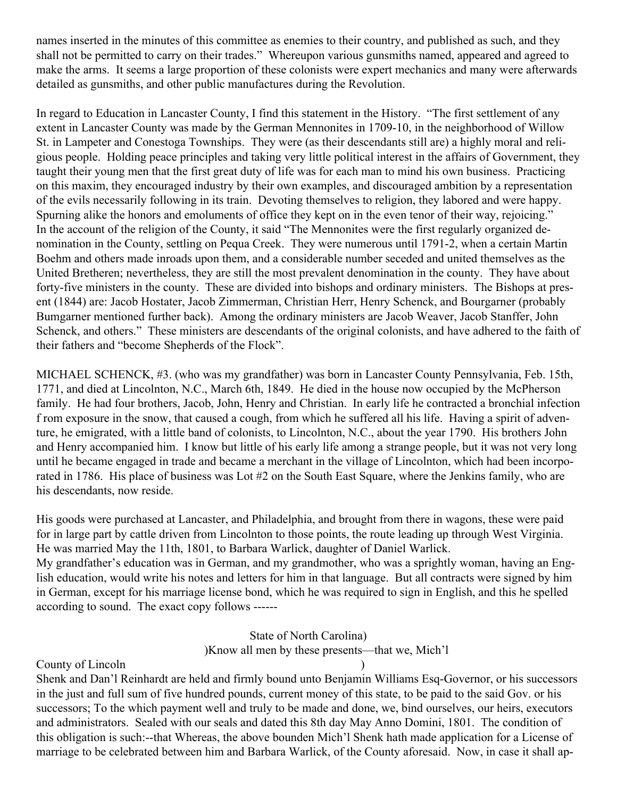names inserted in the minutes of this committee as enemies to their country, and published as such, and they shall not be permitted to carry on their trades." Whereupon various gunsmiths named, appeared and agreed to make the arms. It seems a large proportion of these colonists were expert mechanics and many were afterwards detailed as gunsmiths, and other public manufactures during the Revolution.

In regard to Education in Lancaster County, I find this statement in the History. "The first settlement of any extent in Lancaster County was made by the German Mennonites in 1709-10, in the neighborhood of Willow St. in Lampeter and Conestoga Townships. They were (as their descendants still are) a highly moral and religious people. Holding peace principles and taking very little political interest in the affairs of Government, they taught their young men that the first great duty of life was for each man to mind his own business. Practicing on this maxim, they encouraged industry by their own examples, and discouraged ambition by a representation of the evils necessarily following in its train. Devoting themselves to religion, they labored and were happy. Spurning alike the honors and emoluments of office they kept on in the even tenor of their way, rejoicing." In the account of the religion of the County, it said "The Mennonites were the first regularly organized denomination in the County, settling on Pequa Creek. They were numerous until 1791-2, when a certain Martin Boehm and others made inroads upon them, and a considerable number seceded and united themselves as the United Bretheren; nevertheless, they are still the most prevalent denomination in the county. They have about forty-five ministers in the county. These are divided into bishops and ordinary ministers. The Bishops at present (1844) are: Jacob Hostater, Jacob Zimmerman, Christian Herr, Henry Schenck, and Bourgarner (probably Bumgarner mentioned further back). Among the ordinary ministers are Jacob Weaver, Jacob Stanffer, John Schenck, and others." These ministers are descendants of the original colonists, and have adhered to the faith of their fathers and "become Shepherds of the Flock".

MICHAEL SCHENCK, #3. (who was my grandfather) was born in Lancaster County Pennsylvania, Feb. 15th, 1771, and died at Lincolnton, N.C., March 6th, 1849. He died in the house now occupied by the McPherson family. He had four brothers, Jacob, John, Henry and Christian. In early life he contracted a bronchial infection f rom exposure in the snow, that caused a cough, from which he suffered all his life. Having a spirit of adventure, he emigrated, with a little band of colonists, to Lincolnton, N.C., about the year 1790. His brothers John and Henry accompanied him. I know but little of his early life among a strange people, but it was not very long until he became engaged in trade and became a merchant in the village of Lincolnton, which had been incorporated in 1786. His place of business was Lot #2 on the South East Square, where the Jenkins family, who are his descendants, now reside.

His goods were purchased at Lancaster, and Philadelphia, and brought from there in wagons, these were paid for in large part by cattle driven from Lincolnton to those points, the route leading up through West Virginia. He was married May the 11th, 1801, to Barbara Warlick, daughter of Daniel Warlick.

My grandfather's education was in German, and my grandmother, who was a sprightly woman, having an English education, would write his notes and letters for him in that language. But all contracts were signed by him in German, except for his marriage license bond, which he was required to sign in English, and this he spelled according to sound. The exact copy follows ------

### State of North Carolina) )Know all men by these presents—that we, Mich'l

### County of Lincoln )

Shenk and Dan'l Reinhardt are held and firmly bound unto Benjamin Williams Esq-Governor, or his successors in the just and full sum of five hundred pounds, current money of this state, to be paid to the said Gov. or his successors; To the which payment well and truly to be made and done, we, bind ourselves, our heirs, executors and administrators. Sealed with our seals and dated this 8th day May Anno Domini, 1801. The condition of this obligation is such:--that Whereas, the above bounden Mich'l Shenk hath made application for a License of marriage to be celebrated between him and Barbara Warlick, of the County aforesaid. Now, in case it shall ap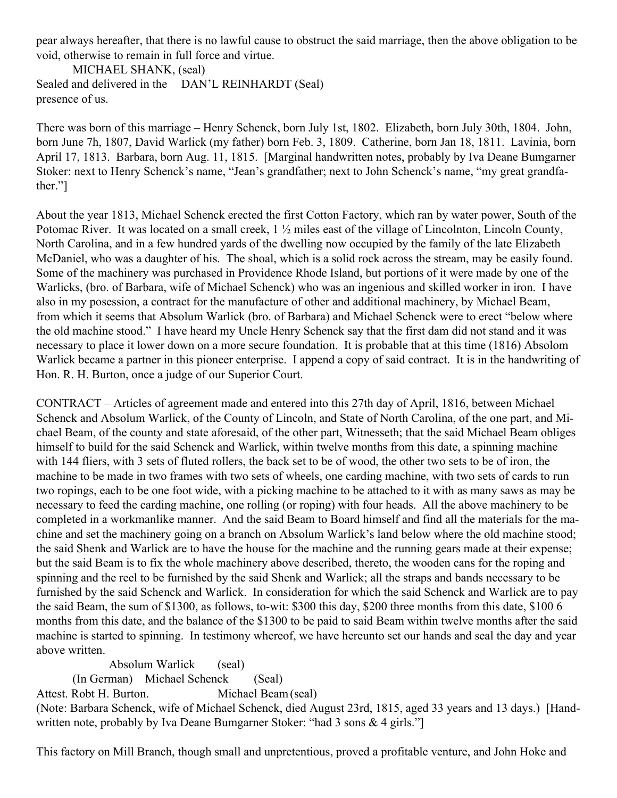pear always hereafter, that there is no lawful cause to obstruct the said marriage, then the above obligation to be void, otherwise to remain in full force and virtue.

MICHAEL SHANK, (seal) Sealed and delivered in the DAN'L REINHARDT (Seal) presence of us.

There was born of this marriage – Henry Schenck, born July 1st, 1802. Elizabeth, born July 30th, 1804. John, born June 7h, 1807, David Warlick (my father) born Feb. 3, 1809. Catherine, born Jan 18, 1811. Lavinia, born April 17, 1813. Barbara, born Aug. 11, 1815. [Marginal handwritten notes, probably by Iva Deane Bumgarner Stoker: next to Henry Schenck's name, "Jean's grandfather; next to John Schenck's name, "my great grandfather."]

About the year 1813, Michael Schenck erected the first Cotton Factory, which ran by water power, South of the Potomac River. It was located on a small creek, 1 ½ miles east of the village of Lincolnton, Lincoln County, North Carolina, and in a few hundred yards of the dwelling now occupied by the family of the late Elizabeth McDaniel, who was a daughter of his. The shoal, which is a solid rock across the stream, may be easily found. Some of the machinery was purchased in Providence Rhode Island, but portions of it were made by one of the Warlicks, (bro. of Barbara, wife of Michael Schenck) who was an ingenious and skilled worker in iron. I have also in my posession, a contract for the manufacture of other and additional machinery, by Michael Beam, from which it seems that Absolum Warlick (bro. of Barbara) and Michael Schenck were to erect "below where the old machine stood." I have heard my Uncle Henry Schenck say that the first dam did not stand and it was necessary to place it lower down on a more secure foundation. It is probable that at this time (1816) Absolom Warlick became a partner in this pioneer enterprise. I append a copy of said contract. It is in the handwriting of Hon. R. H. Burton, once a judge of our Superior Court.

CONTRACT – Articles of agreement made and entered into this 27th day of April, 1816, between Michael Schenck and Absolum Warlick, of the County of Lincoln, and State of North Carolina, of the one part, and Michael Beam, of the county and state aforesaid, of the other part, Witnesseth; that the said Michael Beam obliges himself to build for the said Schenck and Warlick, within twelve months from this date, a spinning machine with 144 fliers, with 3 sets of fluted rollers, the back set to be of wood, the other two sets to be of iron, the machine to be made in two frames with two sets of wheels, one carding machine, with two sets of cards to run two ropings, each to be one foot wide, with a picking machine to be attached to it with as many saws as may be necessary to feed the carding machine, one rolling (or roping) with four heads. All the above machinery to be completed in a workmanlike manner. And the said Beam to Board himself and find all the materials for the machine and set the machinery going on a branch on Absolum Warlick's land below where the old machine stood; the said Shenk and Warlick are to have the house for the machine and the running gears made at their expense; but the said Beam is to fix the whole machinery above described, thereto, the wooden cans for the roping and spinning and the reel to be furnished by the said Shenk and Warlick; all the straps and bands necessary to be furnished by the said Schenck and Warlick. In consideration for which the said Schenck and Warlick are to pay the said Beam, the sum of \$1300, as follows, to-wit: \$300 this day, \$200 three months from this date, \$100 6 months from this date, and the balance of the \$1300 to be paid to said Beam within twelve months after the said machine is started to spinning. In testimony whereof, we have hereunto set our hands and seal the day and year above written.

Absolum Warlick (seal)

(In German) Michael Schenck (Seal)

Attest. Robt H. Burton. Michael Beam (seal)

(Note: Barbara Schenck, wife of Michael Schenck, died August 23rd, 1815, aged 33 years and 13 days.) [Handwritten note, probably by Iva Deane Bumgarner Stoker: "had 3 sons & 4 girls."

This factory on Mill Branch, though small and unpretentious, proved a profitable venture, and John Hoke and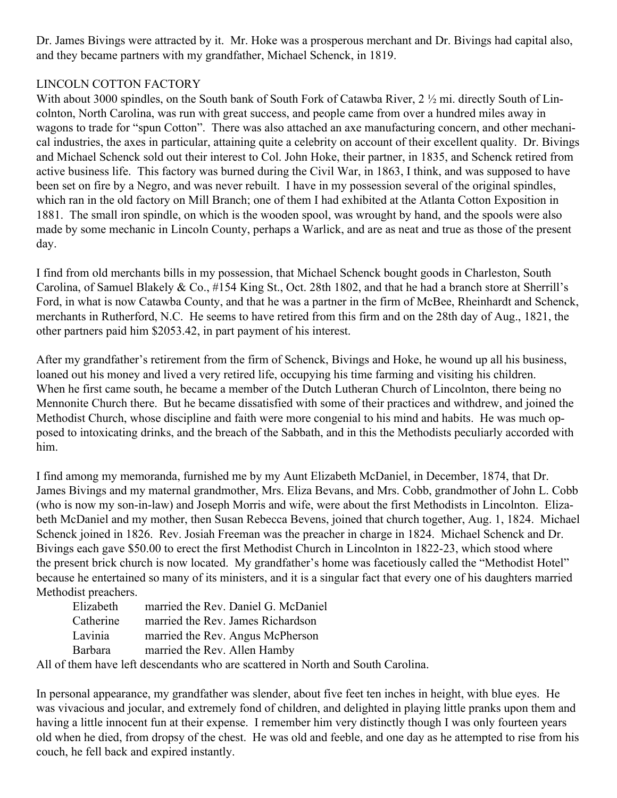Dr. James Bivings were attracted by it. Mr. Hoke was a prosperous merchant and Dr. Bivings had capital also, and they became partners with my grandfather, Michael Schenck, in 1819.

# LINCOLN COTTON FACTORY

With about 3000 spindles, on the South bank of South Fork of Catawba River, 2  $\frac{1}{2}$  mi. directly South of Lincolnton, North Carolina, was run with great success, and people came from over a hundred miles away in wagons to trade for "spun Cotton". There was also attached an axe manufacturing concern, and other mechanical industries, the axes in particular, attaining quite a celebrity on account of their excellent quality. Dr. Bivings and Michael Schenck sold out their interest to Col. John Hoke, their partner, in 1835, and Schenck retired from active business life. This factory was burned during the Civil War, in 1863, I think, and was supposed to have been set on fire by a Negro, and was never rebuilt. I have in my possession several of the original spindles, which ran in the old factory on Mill Branch; one of them I had exhibited at the Atlanta Cotton Exposition in 1881. The small iron spindle, on which is the wooden spool, was wrought by hand, and the spools were also made by some mechanic in Lincoln County, perhaps a Warlick, and are as neat and true as those of the present day.

I find from old merchants bills in my possession, that Michael Schenck bought goods in Charleston, South Carolina, of Samuel Blakely & Co., #154 King St., Oct. 28th 1802, and that he had a branch store at Sherrill's Ford, in what is now Catawba County, and that he was a partner in the firm of McBee, Rheinhardt and Schenck, merchants in Rutherford, N.C. He seems to have retired from this firm and on the 28th day of Aug., 1821, the other partners paid him \$2053.42, in part payment of his interest.

After my grandfather's retirement from the firm of Schenck, Bivings and Hoke, he wound up all his business, loaned out his money and lived a very retired life, occupying his time farming and visiting his children. When he first came south, he became a member of the Dutch Lutheran Church of Lincolnton, there being no Mennonite Church there. But he became dissatisfied with some of their practices and withdrew, and joined the Methodist Church, whose discipline and faith were more congenial to his mind and habits. He was much opposed to intoxicating drinks, and the breach of the Sabbath, and in this the Methodists peculiarly accorded with him.

I find among my memoranda, furnished me by my Aunt Elizabeth McDaniel, in December, 1874, that Dr. James Bivings and my maternal grandmother, Mrs. Eliza Bevans, and Mrs. Cobb, grandmother of John L. Cobb (who is now my son-in-law) and Joseph Morris and wife, were about the first Methodists in Lincolnton. Elizabeth McDaniel and my mother, then Susan Rebecca Bevens, joined that church together, Aug. 1, 1824. Michael Schenck joined in 1826. Rev. Josiah Freeman was the preacher in charge in 1824. Michael Schenck and Dr. Bivings each gave \$50.00 to erect the first Methodist Church in Lincolnton in 1822-23, which stood where the present brick church is now located. My grandfather's home was facetiously called the "Methodist Hotel" because he entertained so many of its ministers, and it is a singular fact that every one of his daughters married Methodist preachers.

| married the Rev. Daniel G. McDaniel |
|-------------------------------------|
| married the Rev. James Richardson   |
| married the Rev. Angus McPherson    |
| married the Rev. Allen Hamby        |
|                                     |

All of them have left descendants who are scattered in North and South Carolina.

In personal appearance, my grandfather was slender, about five feet ten inches in height, with blue eyes. He was vivacious and jocular, and extremely fond of children, and delighted in playing little pranks upon them and having a little innocent fun at their expense. I remember him very distinctly though I was only fourteen years old when he died, from dropsy of the chest. He was old and feeble, and one day as he attempted to rise from his couch, he fell back and expired instantly.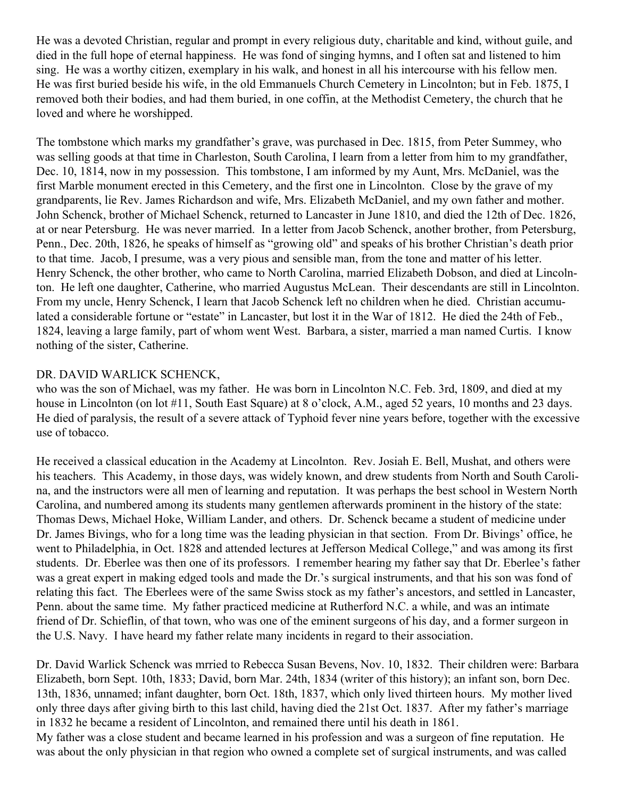He was a devoted Christian, regular and prompt in every religious duty, charitable and kind, without guile, and died in the full hope of eternal happiness. He was fond of singing hymns, and I often sat and listened to him sing. He was a worthy citizen, exemplary in his walk, and honest in all his intercourse with his fellow men. He was first buried beside his wife, in the old Emmanuels Church Cemetery in Lincolnton; but in Feb. 1875, I removed both their bodies, and had them buried, in one coffin, at the Methodist Cemetery, the church that he loved and where he worshipped.

The tombstone which marks my grandfather's grave, was purchased in Dec. 1815, from Peter Summey, who was selling goods at that time in Charleston, South Carolina, I learn from a letter from him to my grandfather, Dec. 10, 1814, now in my possession. This tombstone, I am informed by my Aunt, Mrs. McDaniel, was the first Marble monument erected in this Cemetery, and the first one in Lincolnton. Close by the grave of my grandparents, lie Rev. James Richardson and wife, Mrs. Elizabeth McDaniel, and my own father and mother. John Schenck, brother of Michael Schenck, returned to Lancaster in June 1810, and died the 12th of Dec. 1826, at or near Petersburg. He was never married. In a letter from Jacob Schenck, another brother, from Petersburg, Penn., Dec. 20th, 1826, he speaks of himself as "growing old" and speaks of his brother Christian's death prior to that time. Jacob, I presume, was a very pious and sensible man, from the tone and matter of his letter. Henry Schenck, the other brother, who came to North Carolina, married Elizabeth Dobson, and died at Lincolnton. He left one daughter, Catherine, who married Augustus McLean. Their descendants are still in Lincolnton. From my uncle, Henry Schenck, I learn that Jacob Schenck left no children when he died. Christian accumulated a considerable fortune or "estate" in Lancaster, but lost it in the War of 1812. He died the 24th of Feb., 1824, leaving a large family, part of whom went West. Barbara, a sister, married a man named Curtis. I know nothing of the sister, Catherine.

## DR. DAVID WARLICK SCHENCK,

who was the son of Michael, was my father. He was born in Lincolnton N.C. Feb. 3rd, 1809, and died at my house in Lincolnton (on lot #11, South East Square) at 8 o'clock, A.M., aged 52 years, 10 months and 23 days. He died of paralysis, the result of a severe attack of Typhoid fever nine years before, together with the excessive use of tobacco.

He received a classical education in the Academy at Lincolnton. Rev. Josiah E. Bell, Mushat, and others were his teachers. This Academy, in those days, was widely known, and drew students from North and South Carolina, and the instructors were all men of learning and reputation. It was perhaps the best school in Western North Carolina, and numbered among its students many gentlemen afterwards prominent in the history of the state: Thomas Dews, Michael Hoke, William Lander, and others. Dr. Schenck became a student of medicine under Dr. James Bivings, who for a long time was the leading physician in that section. From Dr. Bivings' office, he went to Philadelphia, in Oct. 1828 and attended lectures at Jefferson Medical College," and was among its first students. Dr. Eberlee was then one of its professors. I remember hearing my father say that Dr. Eberlee's father was a great expert in making edged tools and made the Dr.'s surgical instruments, and that his son was fond of relating this fact. The Eberlees were of the same Swiss stock as my father's ancestors, and settled in Lancaster, Penn. about the same time. My father practiced medicine at Rutherford N.C. a while, and was an intimate friend of Dr. Schieflin, of that town, who was one of the eminent surgeons of his day, and a former surgeon in the U.S. Navy. I have heard my father relate many incidents in regard to their association.

Dr. David Warlick Schenck was mrried to Rebecca Susan Bevens, Nov. 10, 1832. Their children were: Barbara Elizabeth, born Sept. 10th, 1833; David, born Mar. 24th, 1834 (writer of this history); an infant son, born Dec. 13th, 1836, unnamed; infant daughter, born Oct. 18th, 1837, which only lived thirteen hours. My mother lived only three days after giving birth to this last child, having died the 21st Oct. 1837. After my father's marriage in 1832 he became a resident of Lincolnton, and remained there until his death in 1861.

My father was a close student and became learned in his profession and was a surgeon of fine reputation. He was about the only physician in that region who owned a complete set of surgical instruments, and was called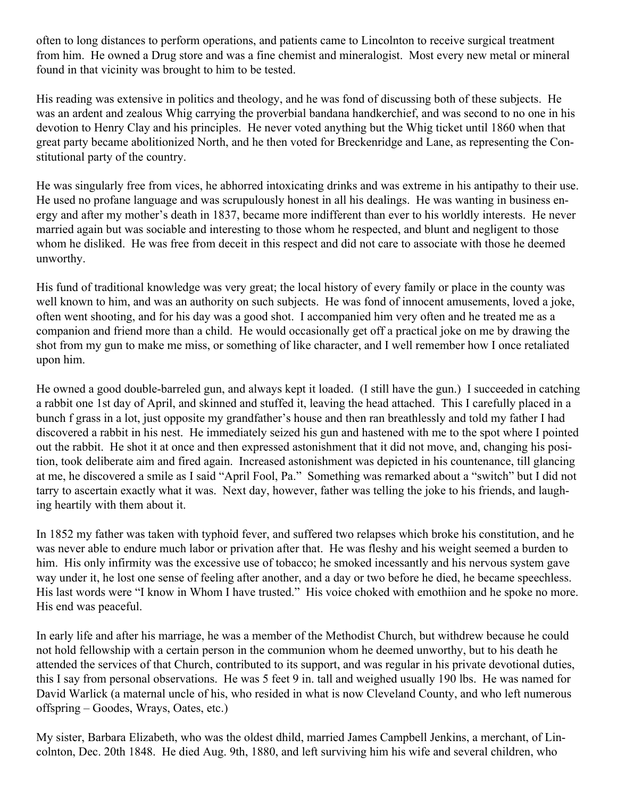often to long distances to perform operations, and patients came to Lincolnton to receive surgical treatment from him. He owned a Drug store and was a fine chemist and mineralogist. Most every new metal or mineral found in that vicinity was brought to him to be tested.

His reading was extensive in politics and theology, and he was fond of discussing both of these subjects. He was an ardent and zealous Whig carrying the proverbial bandana handkerchief, and was second to no one in his devotion to Henry Clay and his principles. He never voted anything but the Whig ticket until 1860 when that great party became abolitionized North, and he then voted for Breckenridge and Lane, as representing the Constitutional party of the country.

He was singularly free from vices, he abhorred intoxicating drinks and was extreme in his antipathy to their use. He used no profane language and was scrupulously honest in all his dealings. He was wanting in business energy and after my mother's death in 1837, became more indifferent than ever to his worldly interests. He never married again but was sociable and interesting to those whom he respected, and blunt and negligent to those whom he disliked. He was free from deceit in this respect and did not care to associate with those he deemed unworthy.

His fund of traditional knowledge was very great; the local history of every family or place in the county was well known to him, and was an authority on such subjects. He was fond of innocent amusements, loved a joke, often went shooting, and for his day was a good shot. I accompanied him very often and he treated me as a companion and friend more than a child. He would occasionally get off a practical joke on me by drawing the shot from my gun to make me miss, or something of like character, and I well remember how I once retaliated upon him.

He owned a good double-barreled gun, and always kept it loaded. (I still have the gun.) I succeeded in catching a rabbit one 1st day of April, and skinned and stuffed it, leaving the head attached. This I carefully placed in a bunch f grass in a lot, just opposite my grandfather's house and then ran breathlessly and told my father I had discovered a rabbit in his nest. He immediately seized his gun and hastened with me to the spot where I pointed out the rabbit. He shot it at once and then expressed astonishment that it did not move, and, changing his position, took deliberate aim and fired again. Increased astonishment was depicted in his countenance, till glancing at me, he discovered a smile as I said "April Fool, Pa." Something was remarked about a "switch" but I did not tarry to ascertain exactly what it was. Next day, however, father was telling the joke to his friends, and laughing heartily with them about it.

In 1852 my father was taken with typhoid fever, and suffered two relapses which broke his constitution, and he was never able to endure much labor or privation after that. He was fleshy and his weight seemed a burden to him. His only infirmity was the excessive use of tobacco; he smoked incessantly and his nervous system gave way under it, he lost one sense of feeling after another, and a day or two before he died, he became speechless. His last words were "I know in Whom I have trusted." His voice choked with emothiion and he spoke no more. His end was peaceful.

In early life and after his marriage, he was a member of the Methodist Church, but withdrew because he could not hold fellowship with a certain person in the communion whom he deemed unworthy, but to his death he attended the services of that Church, contributed to its support, and was regular in his private devotional duties, this I say from personal observations. He was 5 feet 9 in. tall and weighed usually 190 lbs. He was named for David Warlick (a maternal uncle of his, who resided in what is now Cleveland County, and who left numerous offspring – Goodes, Wrays, Oates, etc.)

My sister, Barbara Elizabeth, who was the oldest dhild, married James Campbell Jenkins, a merchant, of Lincolnton, Dec. 20th 1848. He died Aug. 9th, 1880, and left surviving him his wife and several children, who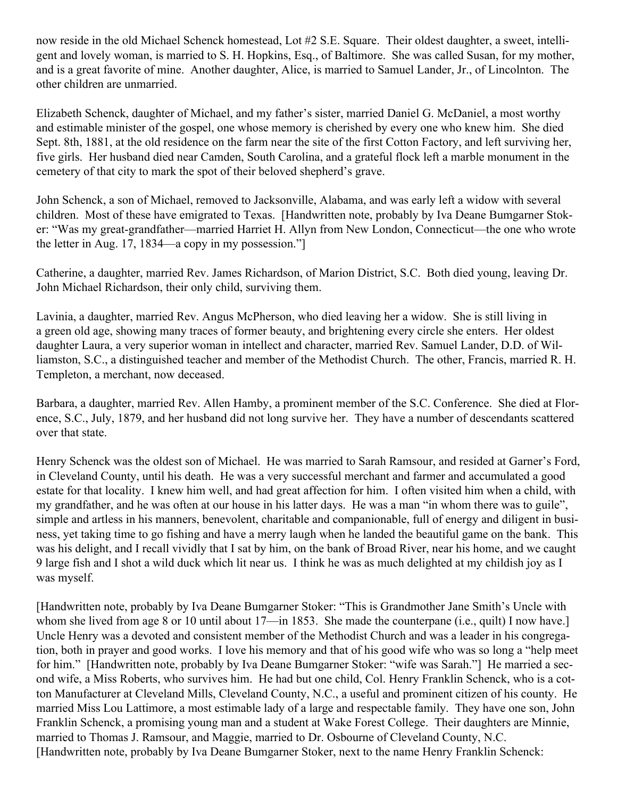now reside in the old Michael Schenck homestead, Lot #2 S.E. Square. Their oldest daughter, a sweet, intelligent and lovely woman, is married to S. H. Hopkins, Esq., of Baltimore. She was called Susan, for my mother, and is a great favorite of mine. Another daughter, Alice, is married to Samuel Lander, Jr., of Lincolnton. The other children are unmarried.

Elizabeth Schenck, daughter of Michael, and my father's sister, married Daniel G. McDaniel, a most worthy and estimable minister of the gospel, one whose memory is cherished by every one who knew him. She died Sept. 8th, 1881, at the old residence on the farm near the site of the first Cotton Factory, and left surviving her, five girls. Her husband died near Camden, South Carolina, and a grateful flock left a marble monument in the cemetery of that city to mark the spot of their beloved shepherd's grave.

John Schenck, a son of Michael, removed to Jacksonville, Alabama, and was early left a widow with several children. Most of these have emigrated to Texas. [Handwritten note, probably by Iva Deane Bumgarner Stoker: "Was my great-grandfather—married Harriet H. Allyn from New London, Connecticut—the one who wrote the letter in Aug. 17, 1834—a copy in my possession."]

Catherine, a daughter, married Rev. James Richardson, of Marion District, S.C. Both died young, leaving Dr. John Michael Richardson, their only child, surviving them.

Lavinia, a daughter, married Rev. Angus McPherson, who died leaving her a widow. She is still living in a green old age, showing many traces of former beauty, and brightening every circle she enters. Her oldest daughter Laura, a very superior woman in intellect and character, married Rev. Samuel Lander, D.D. of Williamston, S.C., a distinguished teacher and member of the Methodist Church. The other, Francis, married R. H. Templeton, a merchant, now deceased.

Barbara, a daughter, married Rev. Allen Hamby, a prominent member of the S.C. Conference. She died at Florence, S.C., July, 1879, and her husband did not long survive her. They have a number of descendants scattered over that state.

Henry Schenck was the oldest son of Michael. He was married to Sarah Ramsour, and resided at Garner's Ford, in Cleveland County, until his death. He was a very successful merchant and farmer and accumulated a good estate for that locality. I knew him well, and had great affection for him. I often visited him when a child, with my grandfather, and he was often at our house in his latter days. He was a man "in whom there was to guile", simple and artless in his manners, benevolent, charitable and companionable, full of energy and diligent in business, yet taking time to go fishing and have a merry laugh when he landed the beautiful game on the bank. This was his delight, and I recall vividly that I sat by him, on the bank of Broad River, near his home, and we caught 9 large fish and I shot a wild duck which lit near us. I think he was as much delighted at my childish joy as I was myself.

[Handwritten note, probably by Iva Deane Bumgarner Stoker: "This is Grandmother Jane Smith's Uncle with whom she lived from age 8 or 10 until about 17—in 1853. She made the counterpane (i.e., quilt) I now have.] Uncle Henry was a devoted and consistent member of the Methodist Church and was a leader in his congregation, both in prayer and good works. I love his memory and that of his good wife who was so long a "help meet for him." [Handwritten note, probably by Iva Deane Bumgarner Stoker: "wife was Sarah."] He married a second wife, a Miss Roberts, who survives him. He had but one child, Col. Henry Franklin Schenck, who is a cotton Manufacturer at Cleveland Mills, Cleveland County, N.C., a useful and prominent citizen of his county. He married Miss Lou Lattimore, a most estimable lady of a large and respectable family. They have one son, John Franklin Schenck, a promising young man and a student at Wake Forest College. Their daughters are Minnie, married to Thomas J. Ramsour, and Maggie, married to Dr. Osbourne of Cleveland County, N.C. [Handwritten note, probably by Iva Deane Bumgarner Stoker, next to the name Henry Franklin Schenck: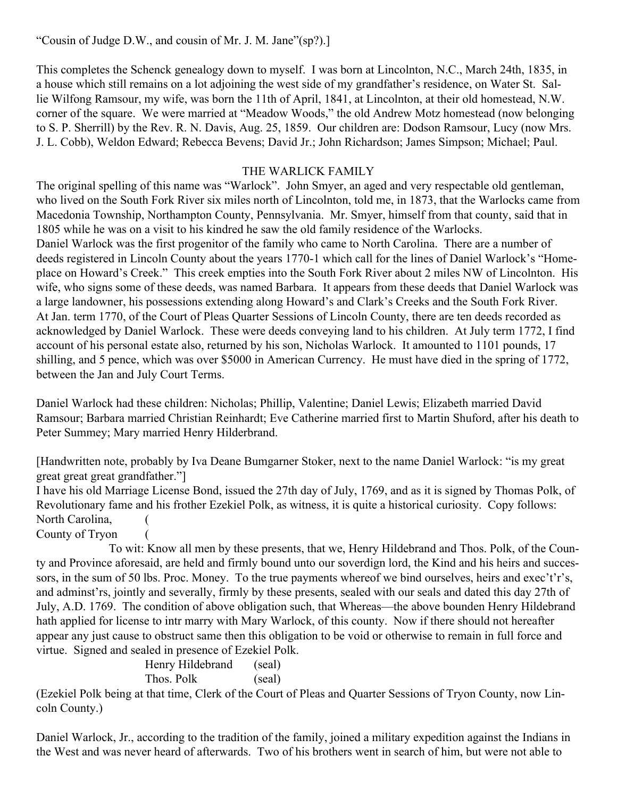"Cousin of Judge D.W., and cousin of Mr. J. M. Jane"(sp?).]

This completes the Schenck genealogy down to myself. I was born at Lincolnton, N.C., March 24th, 1835, in a house which still remains on a lot adjoining the west side of my grandfather's residence, on Water St. Sallie Wilfong Ramsour, my wife, was born the 11th of April, 1841, at Lincolnton, at their old homestead, N.W. corner of the square. We were married at "Meadow Woods," the old Andrew Motz homestead (now belonging to S. P. Sherrill) by the Rev. R. N. Davis, Aug. 25, 1859. Our children are: Dodson Ramsour, Lucy (now Mrs. J. L. Cobb), Weldon Edward; Rebecca Bevens; David Jr.; John Richardson; James Simpson; Michael; Paul.

## THE WARLICK FAMILY

The original spelling of this name was "Warlock". John Smyer, an aged and very respectable old gentleman, who lived on the South Fork River six miles north of Lincolnton, told me, in 1873, that the Warlocks came from Macedonia Township, Northampton County, Pennsylvania. Mr. Smyer, himself from that county, said that in 1805 while he was on a visit to his kindred he saw the old family residence of the Warlocks. Daniel Warlock was the first progenitor of the family who came to North Carolina. There are a number of deeds registered in Lincoln County about the years 1770-1 which call for the lines of Daniel Warlock's "Homeplace on Howard's Creek." This creek empties into the South Fork River about 2 miles NW of Lincolnton. His wife, who signs some of these deeds, was named Barbara. It appears from these deeds that Daniel Warlock was a large landowner, his possessions extending along Howard's and Clark's Creeks and the South Fork River. At Jan. term 1770, of the Court of Pleas Quarter Sessions of Lincoln County, there are ten deeds recorded as acknowledged by Daniel Warlock. These were deeds conveying land to his children. At July term 1772, I find account of his personal estate also, returned by his son, Nicholas Warlock. It amounted to 1101 pounds, 17 shilling, and 5 pence, which was over \$5000 in American Currency. He must have died in the spring of 1772, between the Jan and July Court Terms.

Daniel Warlock had these children: Nicholas; Phillip, Valentine; Daniel Lewis; Elizabeth married David Ramsour; Barbara married Christian Reinhardt; Eve Catherine married first to Martin Shuford, after his death to Peter Summey; Mary married Henry Hilderbrand.

[Handwritten note, probably by Iva Deane Bumgarner Stoker, next to the name Daniel Warlock: "is my great great great great grandfather."]

I have his old Marriage License Bond, issued the 27th day of July, 1769, and as it is signed by Thomas Polk, of Revolutionary fame and his frother Ezekiel Polk, as witness, it is quite a historical curiosity. Copy follows: North Carolina,

County of Tryon (

 To wit: Know all men by these presents, that we, Henry Hildebrand and Thos. Polk, of the County and Province aforesaid, are held and firmly bound unto our soverdign lord, the Kind and his heirs and successors, in the sum of 50 lbs. Proc. Money. To the true payments whereof we bind ourselves, heirs and exec't'r's, and adminst'rs, jointly and severally, firmly by these presents, sealed with our seals and dated this day 27th of July, A.D. 1769. The condition of above obligation such, that Whereas—the above bounden Henry Hildebrand hath applied for license to intr marry with Mary Warlock, of this county. Now if there should not hereafter appear any just cause to obstruct same then this obligation to be void or otherwise to remain in full force and virtue. Signed and sealed in presence of Ezekiel Polk.

> Henry Hildebrand (seal) Thos. Polk (seal)

(Ezekiel Polk being at that time, Clerk of the Court of Pleas and Quarter Sessions of Tryon County, now Lincoln County.)

Daniel Warlock, Jr., according to the tradition of the family, joined a military expedition against the Indians in the West and was never heard of afterwards. Two of his brothers went in search of him, but were not able to